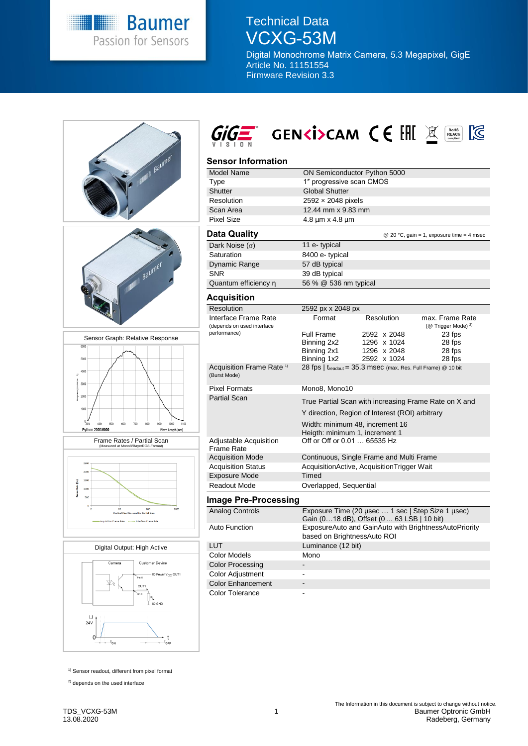

# Technical Data VCXG-53M

Digital Monochrome Matrix Camera, 5.3 Megapixel, GigE Article No. 11151554 Firmware Revision 3.3



<sup>1)</sup> Sensor readout, different from pixel format

<sup>2)</sup> depends on the used interface

 $\overline{\phantom{a}}$  $-t_{\rm ON}$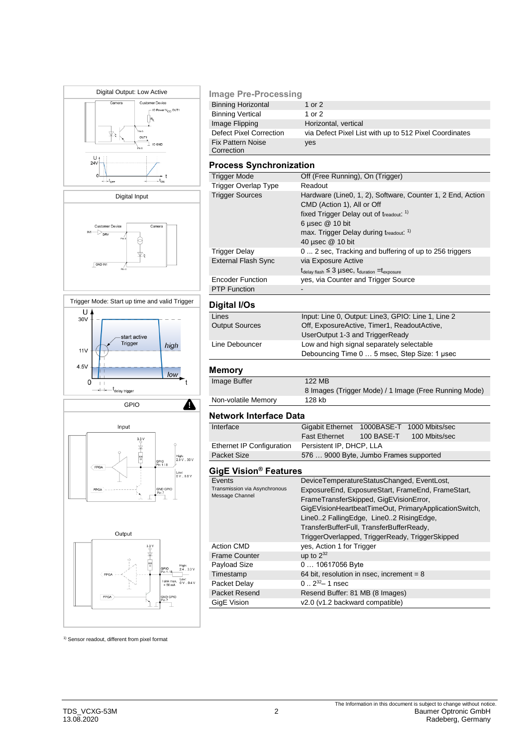







### **Image Pre-Processing**

| <b>Binning Horizontal</b>      | 1 or 2                                                 |
|--------------------------------|--------------------------------------------------------|
| <b>Binning Vertical</b>        | 1 or 2                                                 |
| Image Flipping                 | Horizontal, vertical                                   |
| <b>Defect Pixel Correction</b> | via Defect Pixel List with up to 512 Pixel Coordinates |
| <b>Fix Pattern Noise</b>       | yes                                                    |
| Correction                     |                                                        |

### **Process Synchronization**

| <b>Trigger Mode</b>        | Off (Free Running), On (Trigger)                                                  |  |  |
|----------------------------|-----------------------------------------------------------------------------------|--|--|
| Trigger Overlap Type       | Readout                                                                           |  |  |
| <b>Trigger Sources</b>     | Hardware (Line0, 1, 2), Software, Counter 1, 2 End, Action                        |  |  |
|                            | CMD (Action 1), All or Off                                                        |  |  |
|                            | fixed Trigger Delay out of treadout: 1)                                           |  |  |
|                            | 6 µsec $@$ 10 bit                                                                 |  |  |
|                            | max. Trigger Delay during treadout. <sup>1)</sup>                                 |  |  |
|                            | 40 µsec @ 10 bit                                                                  |  |  |
| Trigger Delay              | 0 2 sec, Tracking and buffering of up to 256 triggers                             |  |  |
| <b>External Flash Sync</b> | via Exposure Active                                                               |  |  |
|                            | $t_{\text{delay flash}} \leq 3$ µSeC, $t_{\text{duration}} = t_{\text{exposure}}$ |  |  |
| <b>Encoder Function</b>    | yes, via Counter and Trigger Source                                               |  |  |
| <b>PTP Function</b>        |                                                                                   |  |  |

# **Digital I/Os**

| ---------             |                                                    |  |
|-----------------------|----------------------------------------------------|--|
| Lines                 | Input: Line 0, Output: Line3, GPIO: Line 1, Line 2 |  |
| <b>Output Sources</b> | Off, ExposureActive, Timer1, ReadoutActive,        |  |
|                       | UserOutput 1-3 and TriggerReady                    |  |
| Line Debouncer        | Low and high signal separately selectable          |  |
|                       | Debouncing Time 0  5 msec, Step Size: 1 usec       |  |
|                       |                                                    |  |

# **Memory**

| Image Buffer        | 122 MB                                                |
|---------------------|-------------------------------------------------------|
|                     | 8 Images (Trigger Mode) / 1 Image (Free Running Mode) |
| Non-volatile Memory | 128 kb                                                |
|                     |                                                       |

#### **Network Interface Data**

| Interface                 | Gigabit Ethernet 1000BASE-T 1000 Mbits/sec |            |               |  |
|---------------------------|--------------------------------------------|------------|---------------|--|
|                           | <b>Fast Ethernet</b>                       | 100 BASE-T | 100 Mbits/sec |  |
| Ethernet IP Configuration | Persistent IP, DHCP, LLA                   |            |               |  |
| Packet Size               | 576  9000 Byte, Jumbo Frames supported     |            |               |  |

# **GigE Vision® Features**

| Events                                           | DeviceTemperatureStatusChanged, EventLost,            |  |  |
|--------------------------------------------------|-------------------------------------------------------|--|--|
| Transmission via Asynchronous<br>Message Channel | ExposureEnd, ExposureStart, FrameEnd, FrameStart,     |  |  |
|                                                  | FrameTransferSkipped, GigEVisionError,                |  |  |
|                                                  | GigEVisionHeartbeatTimeOut, PrimaryApplicationSwitch, |  |  |
|                                                  | Line02 FallingEdge, Line02 RisingEdge,                |  |  |
|                                                  | TransferBufferFull, TransferBufferReady,              |  |  |
|                                                  | TriggerOverlapped, TriggerReady, TriggerSkipped       |  |  |
| <b>Action CMD</b>                                | yes, Action 1 for Trigger                             |  |  |
| <b>Frame Counter</b>                             | up to $2^{32}$                                        |  |  |
| Payload Size                                     | 0  10617056 Byte                                      |  |  |
| Timestamp                                        | 64 bit, resolution in nsec, increment = $8$           |  |  |
| Packet Delay                                     | $0.2^{32} - 1$ nsec                                   |  |  |
| Packet Resend                                    | Resend Buffer: 81 MB (8 Images)                       |  |  |
| GigE Vision                                      | v2.0 (v1.2 backward compatible)                       |  |  |
|                                                  |                                                       |  |  |

<sup>1)</sup> Sensor readout, different from pixel format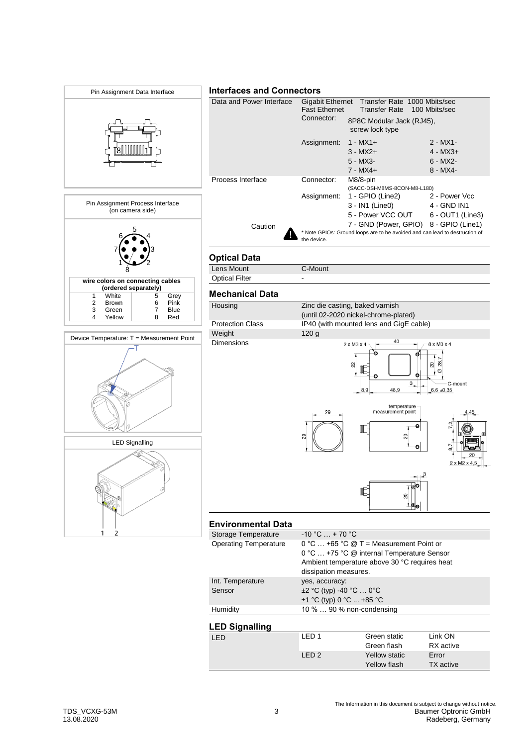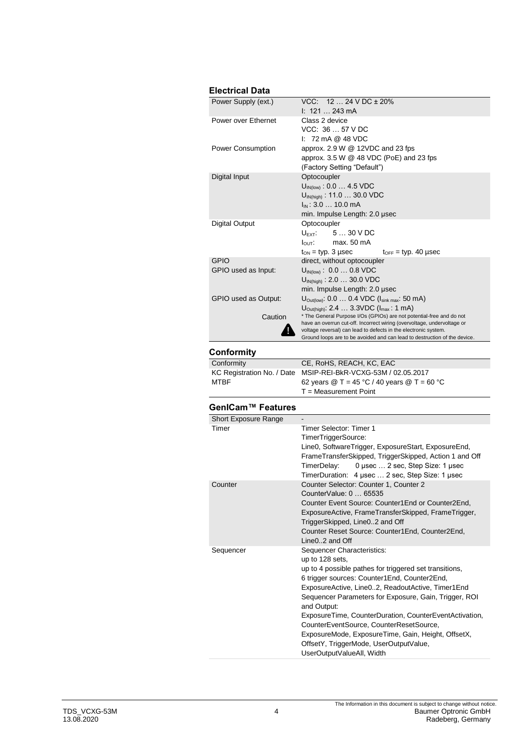# **Electrical Data**

| Power Supply (ext.)  | $VCC: 1224 VDC \pm 20\%$<br>$1: 121 243 \text{ mA}$                                                                                        |  |  |
|----------------------|--------------------------------------------------------------------------------------------------------------------------------------------|--|--|
| Power over Ethernet  | Class 2 device                                                                                                                             |  |  |
|                      | VCC: 36  57 V DC                                                                                                                           |  |  |
|                      | $1: 72 \text{ mA} @ 48 \text{ VDC}$                                                                                                        |  |  |
| Power Consumption    | approx. $2.9 W @ 12VDC$ and $23$ fps                                                                                                       |  |  |
|                      | approx. $3.5 W @ 48 VDC (PoE)$ and 23 fps                                                                                                  |  |  |
|                      | (Factory Setting "Default")                                                                                                                |  |  |
| Digital Input        | Optocoupler                                                                                                                                |  |  |
|                      | $U_{\text{IN(low)}}$ : 0.0  4.5 VDC                                                                                                        |  |  |
|                      | $U_{\text{IN(high)}}$ : 11.0  30.0 VDC                                                                                                     |  |  |
|                      | $I_{IN}$ : 3.0  10.0 mA                                                                                                                    |  |  |
|                      | min. Impulse Length: 2.0 usec                                                                                                              |  |  |
| Digital Output       | Optocoupler                                                                                                                                |  |  |
|                      | $U_{\text{EXT}}$ 5  30 V DC                                                                                                                |  |  |
|                      | $I_{\text{OUT}}$ : max. 50 mA                                                                                                              |  |  |
|                      | $t_{ON}$ = typ. 3 µsec<br>$t_{\text{OFF}}$ = typ. 40 µsec                                                                                  |  |  |
| <b>GPIO</b>          | direct, without optocoupler                                                                                                                |  |  |
| GPIO used as Input:  | $U_{\text{IN(low)}}$ : 0.0  0.8 VDC                                                                                                        |  |  |
|                      | $U_{IN(hich)}$ : 2.0  30.0 VDC                                                                                                             |  |  |
|                      | min. Impulse Length: 2.0 µsec                                                                                                              |  |  |
| GPIO used as Output: | $U_{\text{Outflow}}$ : 0.0  0.4 VDC ( $I_{\text{sink max}}$ : 50 mA)                                                                       |  |  |
|                      | $U_{\text{Out(high)}}$ : 2.4  3.3VDC ( $I_{\text{max}}$ : 1 mA)                                                                            |  |  |
| Caution              | * The General Purpose I/Os (GPIOs) are not potential-free and do not                                                                       |  |  |
|                      | have an overrun cut-off. Incorrect wiring (overvoltage, undervoltage or<br>voltage reversal) can lead to defects in the electronic system. |  |  |
|                      | Ground loops are to be avoided and can lead to destruction of the device.                                                                  |  |  |
| Conformity           |                                                                                                                                            |  |  |
| Conformity           | CE, RoHS, REACH, KC, EAC                                                                                                                   |  |  |
|                      |                                                                                                                                            |  |  |

| Conformity | CE. RoHS. REACH. KC. EAC                                      |  |  |
|------------|---------------------------------------------------------------|--|--|
|            | KC Registration No. / Date MSIP-REI-BkR-VCXG-53M / 02.05.2017 |  |  |
| MTBF       | 62 years @ T = 45 °C / 40 years @ T = 60 °C                   |  |  |
|            | $T = Measurement$ Point                                       |  |  |

# **GenICam™ Features**

| Short Exposure Range |                                                        |  |
|----------------------|--------------------------------------------------------|--|
| Timer                | Timer Selector: Timer 1                                |  |
|                      | TimerTriggerSource:                                    |  |
|                      | Line0, SoftwareTrigger, ExposureStart, ExposureEnd,    |  |
|                      | FrameTransferSkipped, TriggerSkipped, Action 1 and Off |  |
|                      | TimerDelay:<br>0 usec  2 sec, Step Size: 1 usec        |  |
|                      | TimerDuration: 4 usec  2 sec, Step Size: 1 usec        |  |
| Counter              | Counter Selector: Counter 1, Counter 2                 |  |
|                      | CounterValue: 0  65535                                 |  |
|                      | Counter Event Source: Counter1End or Counter2End.      |  |
|                      | ExposureActive, FrameTransferSkipped, FrameTrigger,    |  |
|                      | TriggerSkipped, Line02 and Off                         |  |
|                      | Counter Reset Source: Counter1End, Counter2End,        |  |
|                      | $Line 02$ and Off                                      |  |
| Sequencer            | Sequencer Characteristics:                             |  |
|                      | up to 128 sets.                                        |  |
|                      | up to 4 possible pathes for triggered set transitions, |  |
|                      | 6 trigger sources: Counter1End, Counter2End,           |  |
|                      | ExposureActive, Line02, ReadoutActive, Timer1End       |  |
|                      | Sequencer Parameters for Exposure, Gain, Trigger, ROI  |  |
|                      | and Output:                                            |  |
|                      | ExposureTime, CounterDuration, CounterEventActivation, |  |
|                      | CounterEventSource, CounterResetSource,                |  |
|                      | ExposureMode, ExposureTime, Gain, Height, OffsetX,     |  |
|                      | OffsetY, TriggerMode, UserOutputValue,                 |  |
|                      | UserOutputValueAll, Width                              |  |